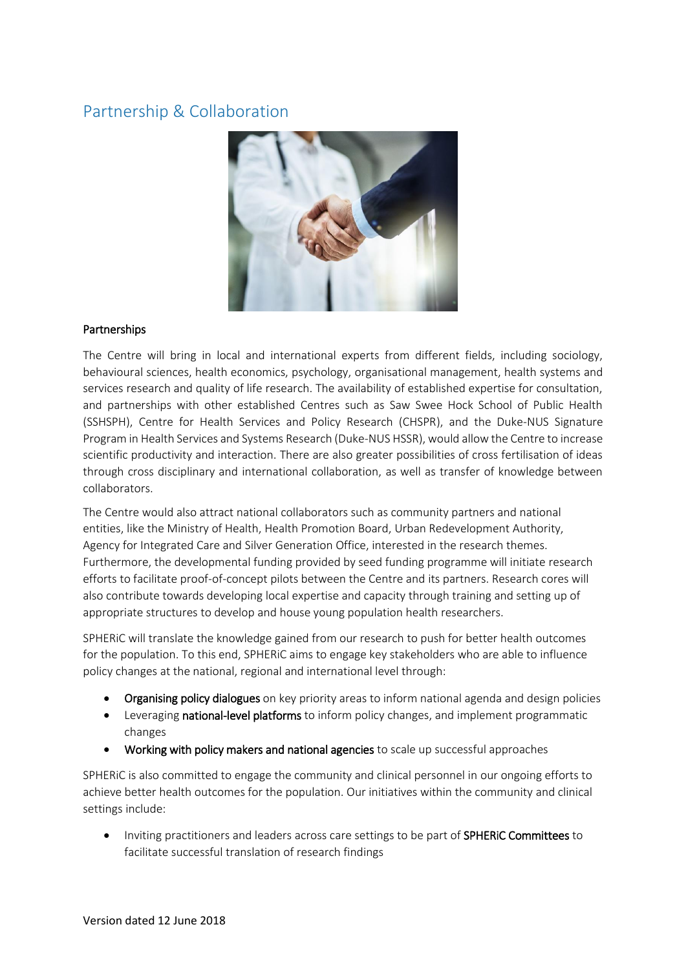## Partnership & Collaboration



## Partnerships

The Centre will bring in local and international experts from different fields, including sociology, behavioural sciences, health economics, psychology, organisational management, health systems and services research and quality of life research. The availability of established expertise for consultation, and partnerships with other established Centres such as Saw Swee Hock School of Public Health (SSHSPH), Centre for Health Services and Policy Research (CHSPR), and the Duke-NUS Signature Program in Health Services and Systems Research (Duke-NUS HSSR), would allow the Centre to increase scientific productivity and interaction. There are also greater possibilities of cross fertilisation of ideas through cross disciplinary and international collaboration, as well as transfer of knowledge between collaborators.

The Centre would also attract national collaborators such as community partners and national entities, like the Ministry of Health, Health Promotion Board, Urban Redevelopment Authority, Agency for Integrated Care and Silver Generation Office, interested in the research themes. Furthermore, the developmental funding provided by seed funding programme will initiate research efforts to facilitate proof-of-concept pilots between the Centre and its partners. Research cores will also contribute towards developing local expertise and capacity through training and setting up of appropriate structures to develop and house young population health researchers.

SPHERiC will translate the knowledge gained from our research to push for better health outcomes for the population. To this end, SPHERiC aims to engage key stakeholders who are able to influence policy changes at the national, regional and international level through:

- Organising policy dialogues on key priority areas to inform national agenda and design policies
- **•** Leveraging national-level platforms to inform policy changes, and implement programmatic changes
- Working with policy makers and national agencies to scale up successful approaches

SPHERiC is also committed to engage the community and clinical personnel in our ongoing efforts to achieve better health outcomes for the population. Our initiatives within the community and clinical settings include:

 Inviting practitioners and leaders across care settings to be part of SPHERiC Committees to facilitate successful translation of research findings